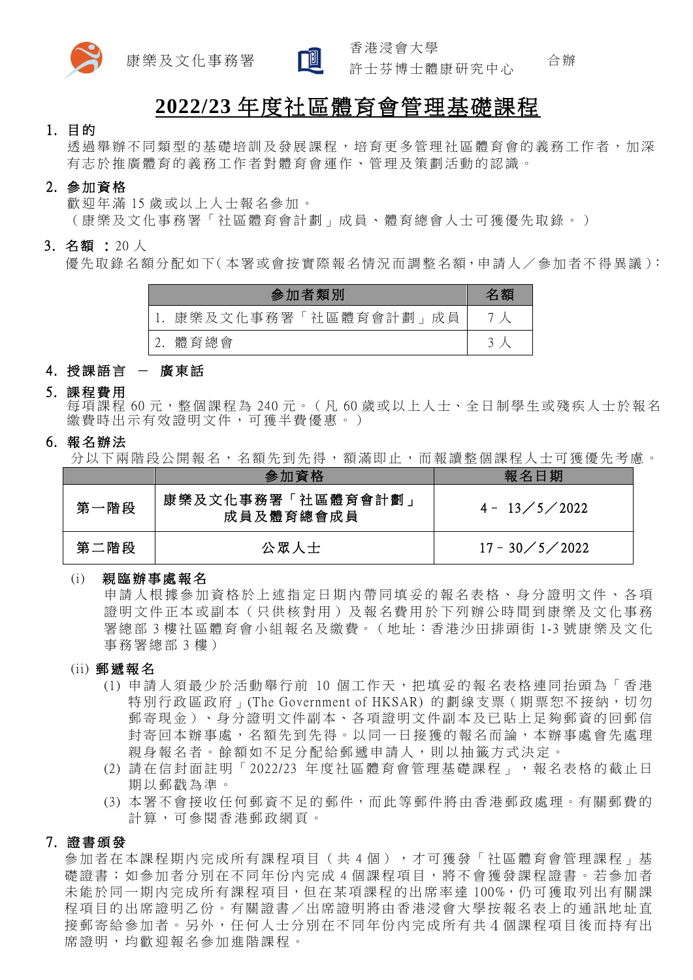



香 港 浸 會 大 學

合 辦 許 士 芬 博 士 體 康 研 究 中 心

# **2022/23** 年度社區體育會管理基礎課程

### 1. 目 的

透 過 舉 辦 不 同 類 型 的 基 礎 培 訓 及 發 展 課 程 , 培 育 更 多 管 理 社 區 體 育 會 的 義 務 工 作 者 , 加 深 有志於推廣體育的義務工作者對體育會運作、管理及策劃活動的認識。

## 2. 參 加 資 格

歡迎年滿 15 歲或以上人士報名參加。

(康樂及文化事務署「社區體育會計劃」成員、體育總會人士可獲優先取錄。)

### 3. 名額: 20人

優 先 取 錄 名 額 分 配 如 下 ( 本 署 或 會 按 實 際 報 名 情 況 而 調 整 名 額,申 請 人 / 參 加 者 不 得 異 議 ):

| 参加者類別               | 名額 |
|---------------------|----|
| 康樂及文化事務署「社區體育會計劃」成員 |    |
| 體育總會                |    |

# 4. 授課語言 - 廣東話

### 5. 課 程 費 用

每項課程 60元,整個課程為 240元。(凡 60歲或以上人士、全日制學生或殘疾人士於報名 繳費時出示有效證明文件,可獲半費優惠。)

6. 報 名 辦 法

分以下兩階段公開報名,名額先到先得,額滿即止,而報讀整個課程人士可獲優先考慮。

|      | 參加資格                          | 報名日期                 |
|------|-------------------------------|----------------------|
| 第一階段 | 康樂及文化事務署「社區體育會計劃<br>成員及體育總會成員 | $4 - 13 / 5 / 2022$  |
| 第二階段 | 公眾人士                          | $17 - 30 / 5 / 2022$ |

### (i) 親 臨 辦 事 處 報 名

申請人根據參加資格於上述指定日期內帶同填妥的報名表格、身分證明文件、各項 證明文件正本或副本(只供核對用)及報名費用於下列辦公時間到康樂及文化事務 署總部 3 樓社區體育會小組報名及繳費。 ( 地址:香港沙田排頭街 1-3 號康樂及文化 事 務 署 總 部 3 樓 )

#### (ii) 郵 遞 報 名

- (1) 申請人須 最 少 於 活 動 舉 行 前 10 個 工 作 天 , 把 填 妥 的 報 名 表 格 連 同 抬 頭 為 「 香 港 特別行政區政府」(The Government of HKSAR) 的劃線支票 ( 期票恕不接納,切勿 郵寄現金)、身分證明文件副本、各項證明文件副本及已貼上足夠郵資的回郵信 封 寄 回 本 辦 事 處 , 名 額 先 到 先 得 。 以 同 一 日 接 獲 的 報 名 而 論 , 本 辦 事 處 會 先 處 理 親身報名者。餘額如不足分配給郵遞申請人,則以抽籤方式決定。
- (2) 請 在 信 封 面 註 明 「 2022/23 年 度 社 區 體 育 會 管 理 基 礎 課程」 , 報 名 表 格 的 截 止 日 期 以 郵 戳 為 準 。
- (3) 本署不會接收任何郵資不足的郵件,而此等郵件將由香港郵政處理。有關郵費的 計算,可參閱香港郵政網頁。

# 7. 證 書 頒 發

参加者在本課程期内完成所有課程項目(共4個),才可獲發「社區體育會管理課程」基 礎證書;如參加者分別在不同年份內完成 4 個課程項目,將不會獲發課程證書。若參加者 未能於同一期內完成所有課程項目,但在某項課程的出席率達 100%,仍可獲取列出有關課 程項目的出席證明乙份。有關證書/出席證明將由香港浸會大學按報名表上的通訊地址直 接郵寄給參加者。另外,任何人士分別在不同年份內完成所有共4個課程項目後而持有出 席證明,均歡迎報名參加進階課程。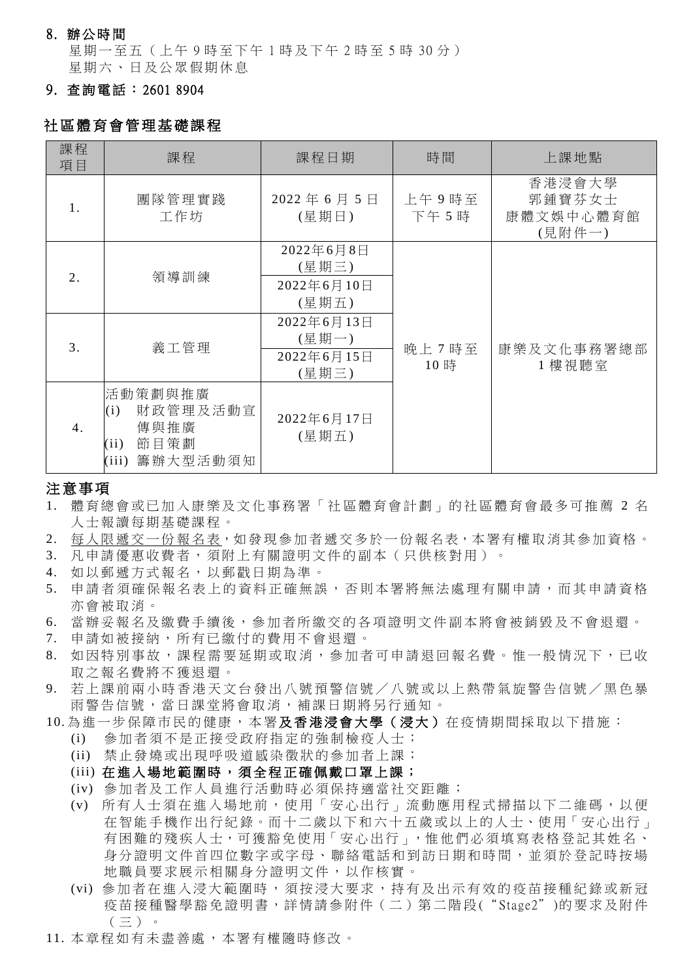### 8. 辦 公 時 間

星期一至五(上午 9 時至下午 1 時及下午 2 時至 5 時 30 分) 星期六、日及公眾假期休息

# 9. 查 詢 電 話 : 2601 8904

# 社區體育會管理基礎課程

| 課程<br>項目         | 課程                                                                      | 課程日期                                       | 時間             | 上課地點                                    |
|------------------|-------------------------------------------------------------------------|--------------------------------------------|----------------|-----------------------------------------|
| 1.               | 團隊管理實踐<br>工作坊                                                           | 2022年6月5日<br>(星期日)                         | 上午9時至<br>下午 5時 | 香港浸會大學<br>郭鍾寶芬女士<br>康體文娛中心體育館<br>(見附件一) |
| $\overline{2}$ . | 領導訓練                                                                    | 2022年6月8日<br>(星期三)<br>2022年6月10日<br>(星期五)  |                |                                         |
| 3.               | 義工管理                                                                    | 2022年6月13日<br>(星期一)<br>2022年6月15日<br>(星期三) | 晚上7時至<br>10時   | 康樂及文化事務署總部<br>1樓視聽室                     |
| $\overline{4}$ . | 活動策劃與推廣<br>財政管理及活動宣<br>(i)<br>傳與推廣<br>節目策劃<br>(ii)<br>籌辦大型活動須知<br>(iii) | 2022年6月17日<br>(星期五)                        |                |                                         |

### 注意事項

- 1. 體育總會或已加入康樂及文化事務署「社區體育會計劃」的社區體育會最多可推薦 2 名 人 士 報 讀 每 期 基 礎 課 程 。
- 2. 每人限遞交一份報名表,如發現參加者遞交多於一份報名表,本署有權取消其參加資格。
- 3. 凡 申 請 優 惠 收 費 者 , 須 附 上 有 關 證 明 文 件 的 副 本 ( 只 供 核 對 用 ) 。
- 4. 如 以 郵 遞 方 式 報 名 , 以 郵 戳 日 期 為 準 。
- 5. 申請者須確保報名表上的資料正確無誤,否則本署將無法處理有關申請,而其申請資格 亦 會 被 取 消 。
- 6. 當 辦 妥 報 名 及 繳 費 手 續 後 , 參 加 者 所 繳 交 的 各 項 證 明 文 件 副 本 將 會 被 銷 毀 及 不 會 退 還 。
- 7. 申 請 如 被 接 納 , 所 有 已 繳 付 的 費 用 不 會 退 還 。
- 8. 如因特別事故,課程需要延期或取消,參加者可申請退回報名費。惟一般情況下,已收 取之報名費將不獲退還。
- 9. 若上課前兩小時香港天文台發出八號預警信號/八號或以上熱帶氣旋警告信號/黑色暴 雨警告信號,當日課堂將會取消,補課日期將另行通知。
- 10. 為進一步保障市民的健康,本署**及香港浸會大學(浸大)**在疫情期間採取以下措施:
	- (i) 參加者須不是正接受政府指定的強制檢疫人士;
	- (ii) 禁 止 發 燒 或 出 現 呼 吸 道 感 染 徵 狀 的 參 加 者 上 課 ;
	- (iii) 在進入場地範圍時,須全程正確佩戴口罩上課;
	- (iv) 參 加 者 及 工 作 人 員 進 行 活 動 時 必 須 保 持 適 當 社 交 距 離 ;
	- (v) 所有人士須在 進 入 場地前 ,使用「安心出行」流動應用程式掃描 以 下 二維碼 ,以便 在智能手機作出行紀錄。而十二歲以下和六十五歲或以上的人士、使用「安心出行」 有困難的殘疾人士,可獲豁免使用「安心出行」,惟他們必須填寫表格登記其姓名、 身 分 證 明 文 件 首 四 位 數 字 或 字 母 、 聯 絡 電 話 和 到 訪 日 期 和 時 間 , 並 須 於 登 記 時 按場 地 職 員 要 求 展 示 相 關 身 分 證 明 文 件 , 以 作 核 實 。
	- (vi) 參加者在進入浸大範圍時, 須按浸大要求, 持有及出示有效的疫苗接種紀錄或新冠 疫苗接種醫學豁免證明書,詳情請參附件(二)第二階段("Stage2")的要求及附件  $($   $\equiv$   $)$   $\circ$
- 11. 本章程如有未盡善處,本署有權隨時修改。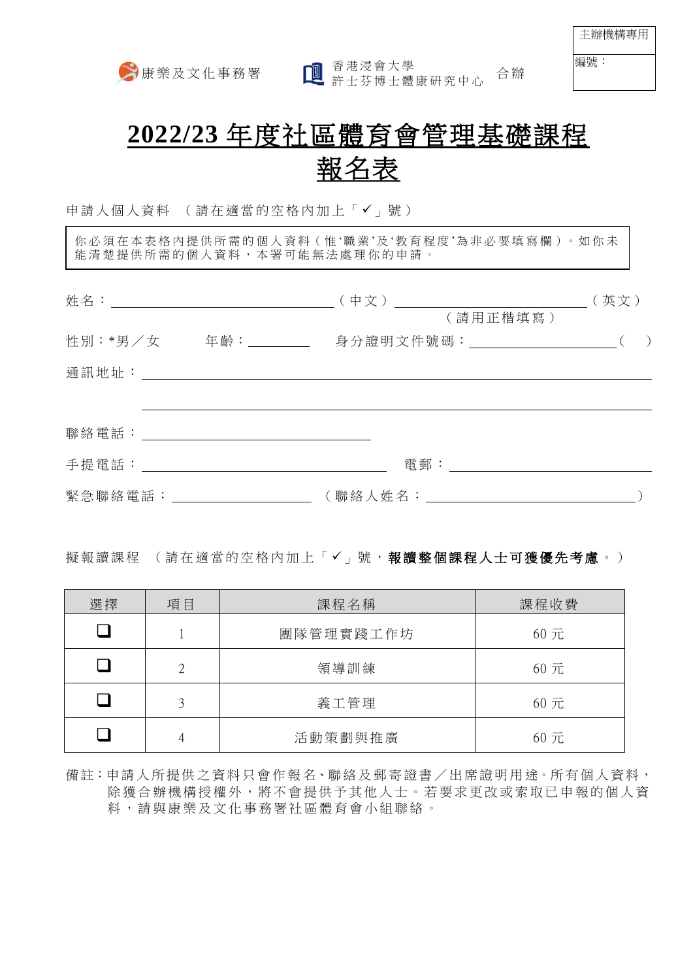新康樂及文化事務署 國香港浸會大學 音辦

主辦機構專用

編號:

# **2022/23** 年度社區體育會管理基礎課程 報名表

申請人個人資料 (請在適當的空格內加上「√」號)

你必須在本表格內提供所需的個人資料(惟'職業'及'教育程度'為非必要填寫欄)。如你未 能清楚提供所需的個人資料,本署可能無法處理你的申請。

|                                                    |                               | (英文) |
|----------------------------------------------------|-------------------------------|------|
|                                                    | (請用正楷填寫)                      |      |
| 性別:*男/女 年齡:________                                | 身分證明文件號碼:____________________ |      |
| 通訊地址: 原因的 医心脏 医心脏                                  |                               |      |
|                                                    |                               |      |
| 聯絡 電話 : アンドランド しんしょう かいしん かいしん かいしん かいしん おおし かいしょう |                               |      |
| 手 提 電 話 : こころ こころ こうしょう こうしょう こうしょう かんこう ほんこうしょう   | 電郵:_____________________      |      |
| 緊急聯絡電話:______________                              |                               |      |

# 擬報讀課程 (請在適當的空格內加上「√」號,報讀整個課程人士可獲優先考慮。)

| 選擇 | 項目            | 課程名稱      | 課程收費 |
|----|---------------|-----------|------|
|    |               | 團隊管理實踐工作坊 | 60元  |
|    | $2^{1}$       | 領導訓練      | 60元  |
|    | $\mathcal{L}$ | 義工管理      | 60元  |
|    | 4             | 活動策劃與推廣   | 60元  |

備註:申請人所提供之資料只會作報名、聯絡及郵寄證書/出席證明用途。所有個人資料, 除獲合辦機構授權外,將不會提供予其他人士。若要求更改或索取已申報的個人資 料 , 請 與 康 樂 及 文 化 事 務 署 社 區 體 育 會 小 組 聯 絡 。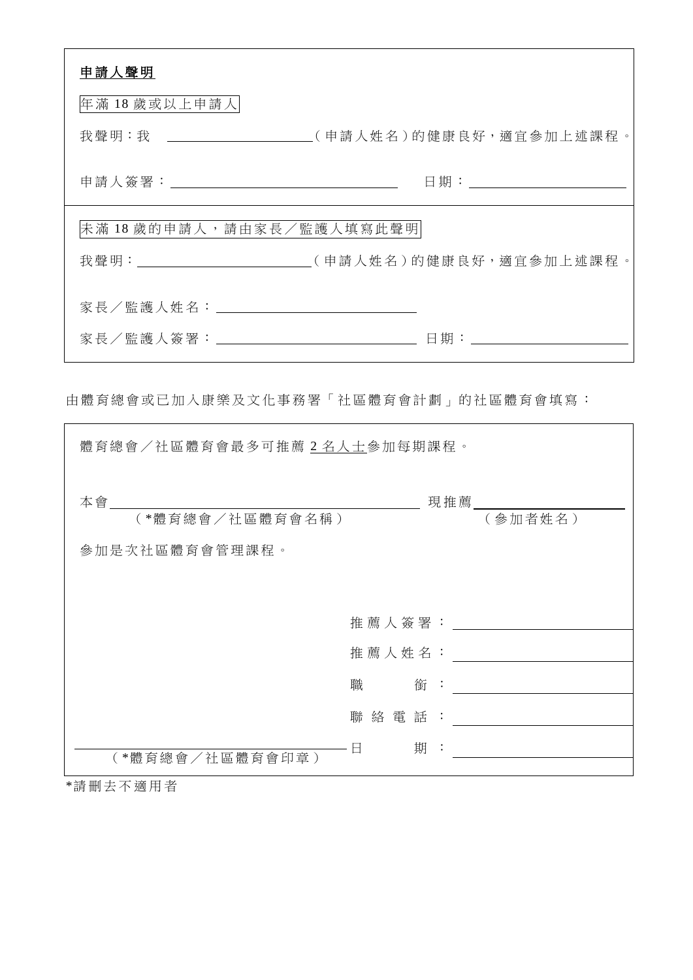| 申請人聲明                               |                                                                               |
|-------------------------------------|-------------------------------------------------------------------------------|
| 年滿 18 歲或以上申請人                       |                                                                               |
|                                     | 我聲明:我 ____________________(申請人姓名)的健康良好,適宜參加上述課程。                              |
|                                     |                                                                               |
| 未滿18歲的申請人,請由家長/監護人填寫此聲明             |                                                                               |
|                                     | 我聲明:________________________(申請人姓名)的健康良好,適宜參加上述課程。                            |
|                                     |                                                                               |
|                                     |                                                                               |
|                                     |                                                                               |
| 由體育總會或已加入康樂及文化事務署「社區體育會計劃」的社區體育會填寫: |                                                                               |
| 體育總會/社區體育會最多可推薦2名人士參加每期課程。          |                                                                               |
| 本會_____                             | 現推薦                                                                           |
| (*體育總會/社區體育會名稱)                     | (參加者姓名)                                                                       |
| 參加是次社區體育會管理課程。                      |                                                                               |
|                                     |                                                                               |
|                                     | 推 薦 人 簽 署 : ___________________                                               |
|                                     |                                                                               |
|                                     | 職<br>銜<br>$\mathbb{R}^2$<br><u> 1980 - Jan Barbara Barat, prima politik (</u> |
|                                     | 聯絡電話: _____________                                                           |
| (*體育總會/社區體育會印章)                     | 日                                                                             |

\*請 刪 去 不 適 用 者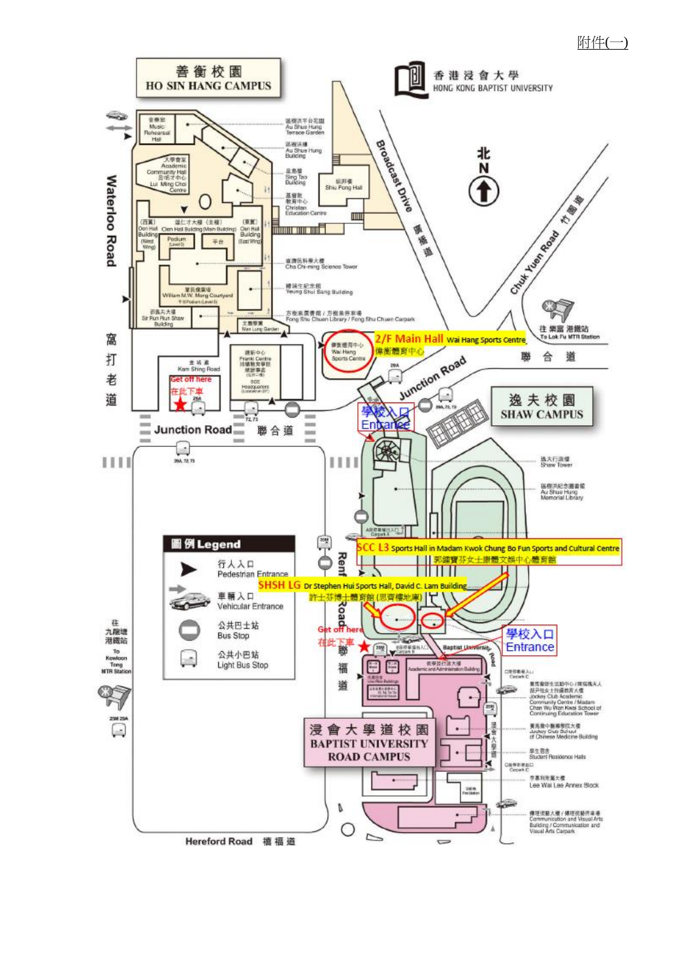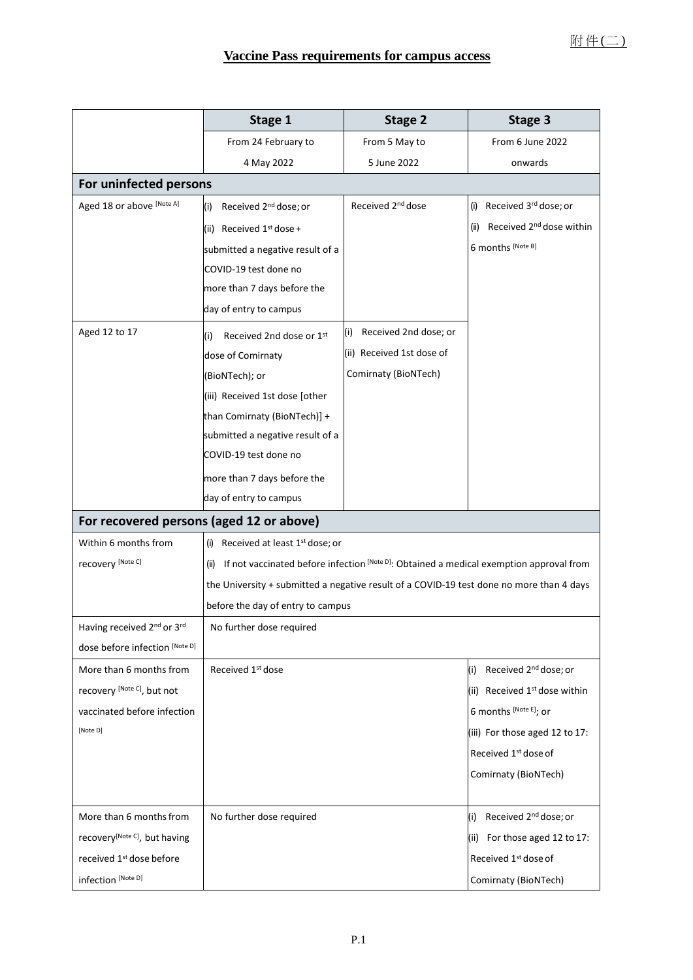|                                           | Stage 1                                                                                      | Stage 2                       | Stage 3                                      |
|-------------------------------------------|----------------------------------------------------------------------------------------------|-------------------------------|----------------------------------------------|
|                                           | From 24 February to                                                                          | From 5 May to                 | From 6 June 2022                             |
|                                           | 4 May 2022                                                                                   | 5 June 2022                   | onwards                                      |
| For uninfected persons                    |                                                                                              |                               |                                              |
| Aged 18 or above [Note A]                 | Received 2 <sup>nd</sup> dose; or<br>(i)                                                     | Received 2 <sup>nd</sup> dose | (i) Received 3rd dose; or                    |
|                                           | (ii) Received $1^{st}$ dose +                                                                |                               | Received 2 <sup>nd</sup> dose within<br>(ii) |
|                                           | submitted a negative result of a                                                             |                               | 6 months [Note B]                            |
|                                           | COVID-19 test done no                                                                        |                               |                                              |
|                                           | more than 7 days before the                                                                  |                               |                                              |
|                                           | day of entry to campus                                                                       |                               |                                              |
| Aged 12 to 17                             | Received 2nd dose or 1st<br>(i)                                                              | Received 2nd dose; or<br>(i)  |                                              |
|                                           | dose of Comirnaty                                                                            | (ii) Received 1st dose of     |                                              |
|                                           | (BioNTech); or                                                                               | Comirnaty (BioNTech)          |                                              |
|                                           | (iii) Received 1st dose [other                                                               |                               |                                              |
|                                           | than Comirnaty (BioNTech)] +                                                                 |                               |                                              |
|                                           | submitted a negative result of a                                                             |                               |                                              |
|                                           | COVID-19 test done no                                                                        |                               |                                              |
|                                           | more than 7 days before the                                                                  |                               |                                              |
|                                           | day of entry to campus                                                                       |                               |                                              |
| For recovered persons (aged 12 or above)  |                                                                                              |                               |                                              |
| Within 6 months from                      | Received at least 1 <sup>st</sup> dose; or<br>(i)                                            |                               |                                              |
| recovery [Note C]                         | (ii) If not vaccinated before infection [Note D]: Obtained a medical exemption approval from |                               |                                              |
|                                           | the University + submitted a negative result of a COVID-19 test done no more than 4 days     |                               |                                              |
|                                           | before the day of entry to campus                                                            |                               |                                              |
| Having received 2nd or 3rd                | No further dose required                                                                     |                               |                                              |
| dose before infection [Note D]            |                                                                                              |                               |                                              |
| More than 6 months from                   | Received 1 <sup>st</sup> dose                                                                |                               | Received 2 <sup>nd</sup> dose; or<br>(i)     |
| recovery [Note C], but not                |                                                                                              |                               | (ii) Received 1 <sup>st</sup> dose within    |
| vaccinated before infection               |                                                                                              |                               | 6 months [Note E]; or                        |
| [Note D]                                  |                                                                                              |                               | (iii) For those aged 12 to 17:               |
|                                           |                                                                                              |                               | Received 1st dose of                         |
|                                           |                                                                                              |                               | Comirnaty (BioNTech)                         |
|                                           |                                                                                              |                               |                                              |
| More than 6 months from                   | No further dose required                                                                     |                               | Received 2 <sup>nd</sup> dose; or<br>(i)     |
| recovery <sup>[Note C]</sup> , but having |                                                                                              |                               | For those aged 12 to 17:<br>(ii)             |
| received 1st dose before                  |                                                                                              |                               | Received 1st dose of                         |
| infection [Note D]                        |                                                                                              |                               | Comirnaty (BioNTech)                         |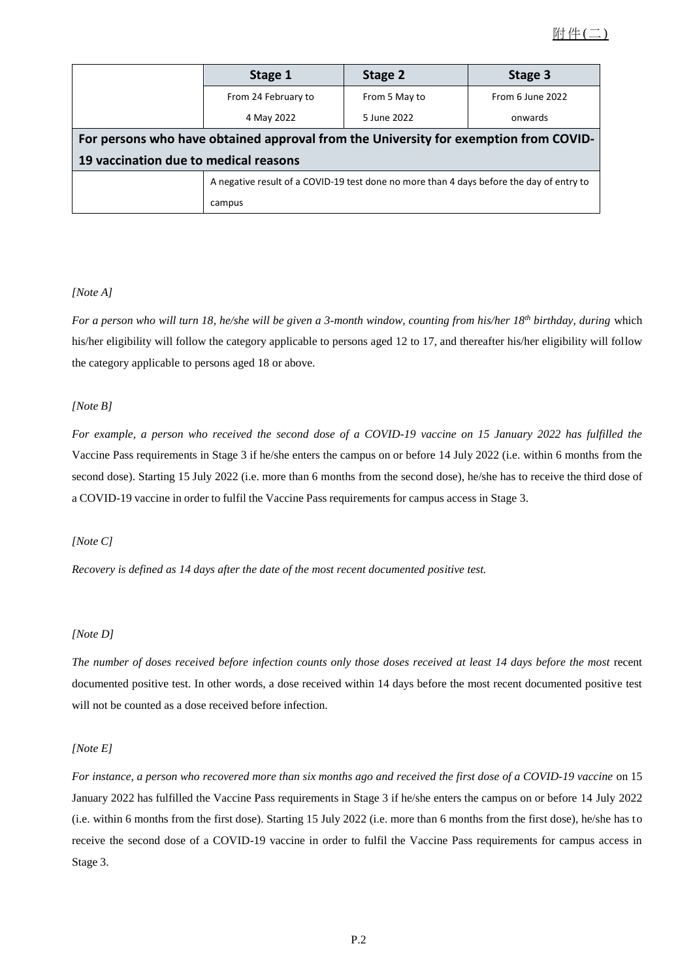|                                                                                      | Stage 1                                                                                  | Stage 2       | Stage 3          |
|--------------------------------------------------------------------------------------|------------------------------------------------------------------------------------------|---------------|------------------|
|                                                                                      | From 24 February to                                                                      | From 5 May to | From 6 June 2022 |
|                                                                                      | 4 May 2022                                                                               | 5 June 2022   | onwards          |
| For persons who have obtained approval from the University for exemption from COVID- |                                                                                          |               |                  |
|                                                                                      | 19 vaccination due to medical reasons                                                    |               |                  |
|                                                                                      | A negative result of a COVID-19 test done no more than 4 days before the day of entry to |               |                  |
|                                                                                      | campus                                                                                   |               |                  |

### *[Note A]*

For a person who will turn 18, he/she will be given a 3-month window, counting from his/her 18<sup>th</sup> birthday, during which his/her eligibility will follow the category applicable to persons aged 12 to 17, and thereafter his/her eligibility will follow the category applicable to persons aged 18 or above.

### *[Note B]*

For example, a person who received the second dose of a COVID-19 vaccine on 15 January 2022 has fulfilled the Vaccine Pass requirements in Stage 3 if he/she enters the campus on or before 14 July 2022 (i.e. within 6 months from the second dose). Starting 15 July 2022 (i.e. more than 6 months from the second dose), he/she has to receive the third dose of a COVID-19 vaccine in order to fulfil the Vaccine Pass requirements for campus access in Stage 3.

### *[Note C]*

*Recovery is defined as 14 days after the date of the most recent documented positive test.*

### *[Note D]*

The number of doses received before infection counts only those doses received at least 14 days before the most recent documented positive test. In other words, a dose received within 14 days before the most recent documented positive test will not be counted as a dose received before infection.

### *[Note E]*

For instance, a person who recovered more than six months ago and received the first dose of a COVID-19 vaccine on 15 January 2022 has fulfilled the Vaccine Pass requirements in Stage 3 if he/she enters the campus on or before 14 July 2022 (i.e. within 6 months from the first dose). Starting 15 July 2022 (i.e. more than 6 months from the first dose), he/she has to receive the second dose of a COVID-19 vaccine in order to fulfil the Vaccine Pass requirements for campus access in Stage 3.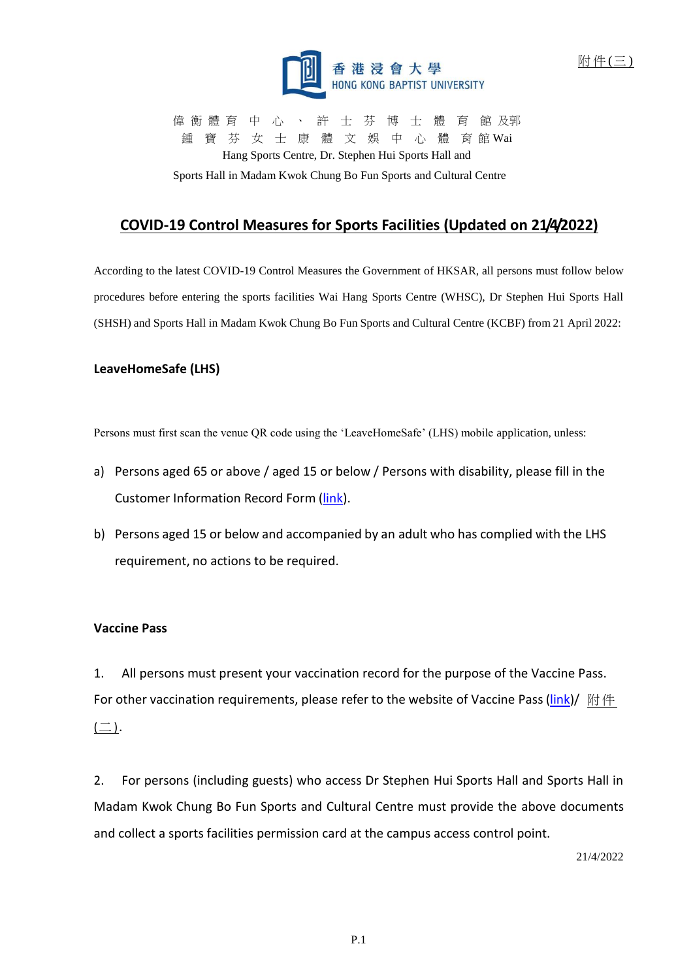

偉 衡 體 育 中 心 、 許 士 芬 博 士 體 育 館 及郭 鍾 寶 芬 女 士 康 體 文 娛 中 心 體 育 館 Wai Hang Sports Centre, Dr. Stephen Hui Sports Hall and

Sports Hall in Madam Kwok Chung Bo Fun Sports and Cultural Centre

# **COVID-19 Control Measures for Sports Facilities (Updated on 21/4/2022)**

According to the latest COVID-19 Control Measures the Government of HKSAR, all persons must follow below procedures before entering the sports facilities Wai Hang Sports Centre (WHSC), Dr Stephen Hui Sports Hall (SHSH) and Sports Hall in Madam Kwok Chung Bo Fun Sports and Cultural Centre (KCBF) from 21 April 2022:

## **LeaveHomeSafe (LHS)**

Persons must first scan the venue QR code using the 'LeaveHomeSafe' (LHS) mobile application, unless:

- a) Persons aged 65 or above / aged 15 or below / Persons with disability, please fill in the Customer Information Record Form [\(link\)](https://www.coronavirus.gov.hk/pdf/vp_dicf.pdf).
- b) Persons aged 15 or below and accompanied by an adult who has complied with the LHS requirement, no actions to be required.

### **Vaccine Pass**

1. All persons must present your vaccination record for the purpose of the Vaccine Pass. For other vaccination requirements, please refer to the website of Vaccine Pass [\(link\)](https://www.coronavirus.gov.hk/eng/vaccine-pass.html)/  $\mathbb{M} \nleftrightarrow$  $(\square)$ .

2. For persons (including guests) who access Dr Stephen Hui Sports Hall and Sports Hall in Madam Kwok Chung Bo Fun Sports and Cultural Centre must provide the above documents and collect a sports facilities permission card at the campus access control point.

21/4/2022